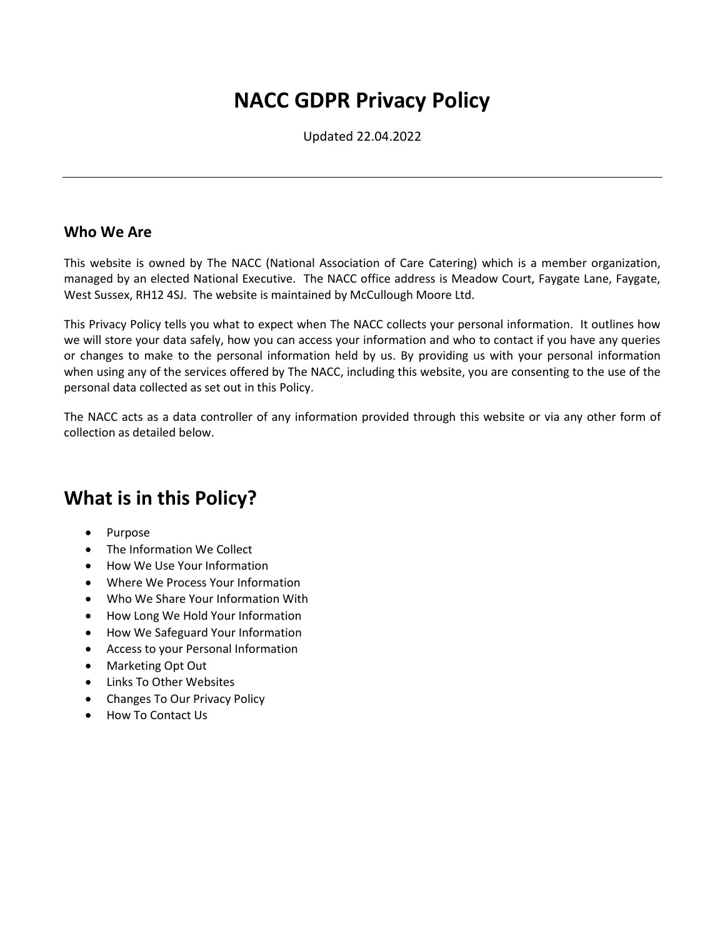# **NACC GDPR Privacy Policy**

Updated 22.04.2022

#### **Who We Are**

This website is owned by The NACC (National Association of Care Catering) which is a member organization, managed by an elected National Executive. The NACC office address is Meadow Court, Faygate Lane, Faygate, West Sussex, RH12 4SJ. The website is maintained by McCullough Moore Ltd.

This Privacy Policy tells you what to expect when The NACC collects your personal information. It outlines how we will store your data safely, how you can access your information and who to contact if you have any queries or changes to make to the personal information held by us. By providing us with your personal information when using any of the services offered by The NACC, including this website, you are consenting to the use of the personal data collected as set out in this Policy.

The NACC acts as a data controller of any information provided through this website or via any other form of collection as detailed below.

# **What is in this Policy?**

- Purpose
- The Information We Collect
- How We Use Your Information
- Where We Process Your Information
- Who We Share Your Information With
- How Long We Hold Your Information
- How We Safeguard Your Information
- Access to your Personal Information
- Marketing Opt Out
- Links To Other Websites
- Changes To Our Privacy Policy
- How To Contact Us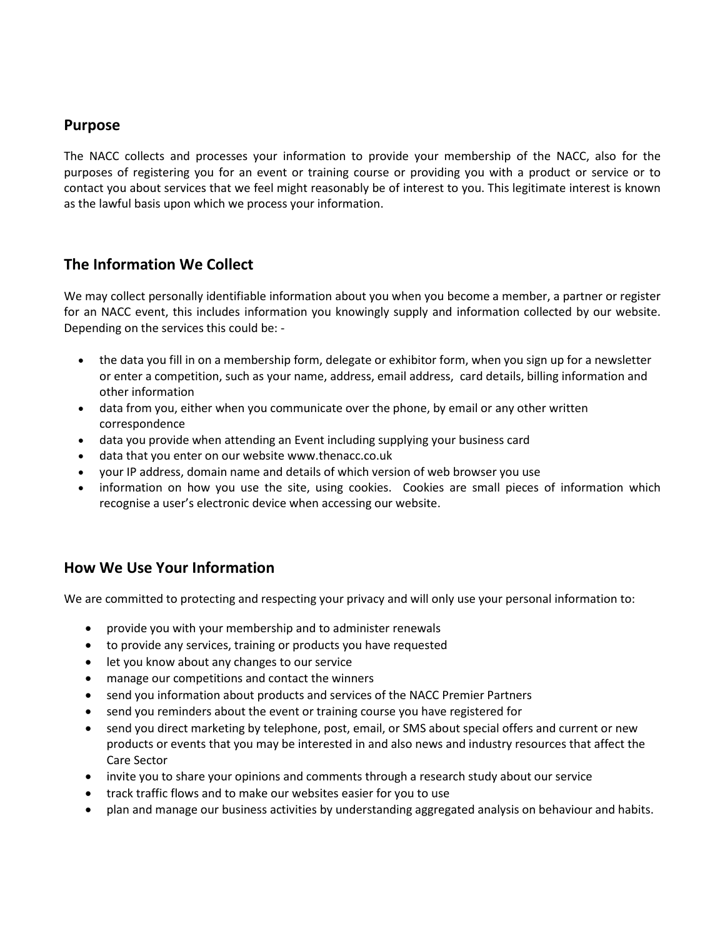#### **Purpose**

The NACC collects and processes your information to provide your membership of the NACC, also for the purposes of registering you for an event or training course or providing you with a product or service or to contact you about services that we feel might reasonably be of interest to you. This legitimate interest is known as the lawful basis upon which we process your information.

#### **The Information We Collect**

We may collect personally identifiable information about you when you become a member, a partner or register for an NACC event, this includes information you knowingly supply and information collected by our website. Depending on the services this could be: -

- the data you fill in on a membership form, delegate or exhibitor form, when you sign up for a newsletter or enter a competition, such as your name, address, email address, card details, billing information and other information
- data from you, either when you communicate over the phone, by email or any other written correspondence
- data you provide when attending an Event including supplying your business card
- data that you enter on our website www.thenacc.co.uk
- your IP address, domain name and details of which version of web browser you use
- information on how you use the site, using cookies. Cookies are small pieces of information which recognise a user's electronic device when accessing our website.

#### **How We Use Your Information**

We are committed to protecting and respecting your privacy and will only use your personal information to:

- provide you with your membership and to administer renewals
- to provide any services, training or products you have requested
- let you know about any changes to our service
- manage our competitions and contact the winners
- send you information about products and services of the NACC Premier Partners
- send you reminders about the event or training course you have registered for
- send you direct marketing by telephone, post, email, or SMS about special offers and current or new products or events that you may be interested in and also news and industry resources that affect the Care Sector
- invite you to share your opinions and comments through a research study about our service
- track traffic flows and to make our websites easier for you to use
- plan and manage our business activities by understanding aggregated analysis on behaviour and habits.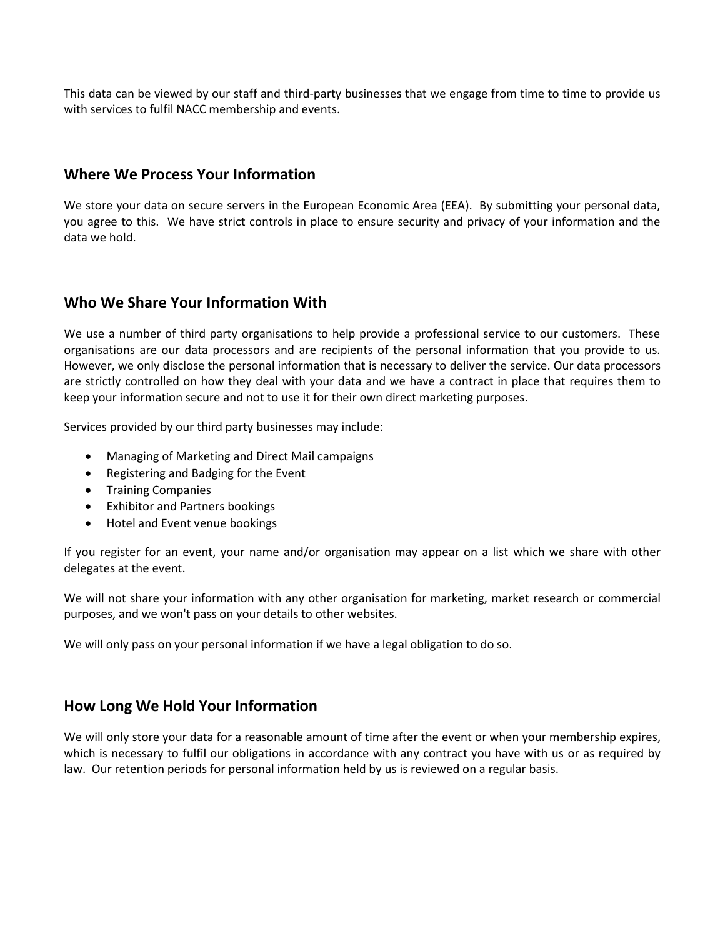This data can be viewed by our staff and third-party businesses that we engage from time to time to provide us with services to fulfil NACC membership and events.

#### **Where We Process Your Information**

We store your data on secure servers in the European Economic Area (EEA). By submitting your personal data, you agree to this. We have strict controls in place to ensure security and privacy of your information and the data we hold.

#### **Who We Share Your Information With**

We use a number of third party organisations to help provide a professional service to our customers. These organisations are our data processors and are recipients of the personal information that you provide to us. However, we only disclose the personal information that is necessary to deliver the service. Our data processors are strictly controlled on how they deal with your data and we have a contract in place that requires them to keep your information secure and not to use it for their own direct marketing purposes.

Services provided by our third party businesses may include:

- Managing of Marketing and Direct Mail campaigns
- Registering and Badging for the Event
- Training Companies
- Exhibitor and Partners bookings
- Hotel and Event venue bookings

If you register for an event, your name and/or organisation may appear on a list which we share with other delegates at the event.

We will not share your information with any other organisation for marketing, market research or commercial purposes, and we won't pass on your details to other websites.

We will only pass on your personal information if we have a legal obligation to do so.

#### **How Long We Hold Your Information**

We will only store your data for a reasonable amount of time after the event or when your membership expires, which is necessary to fulfil our obligations in accordance with any contract you have with us or as required by law. Our retention periods for personal information held by us is reviewed on a regular basis.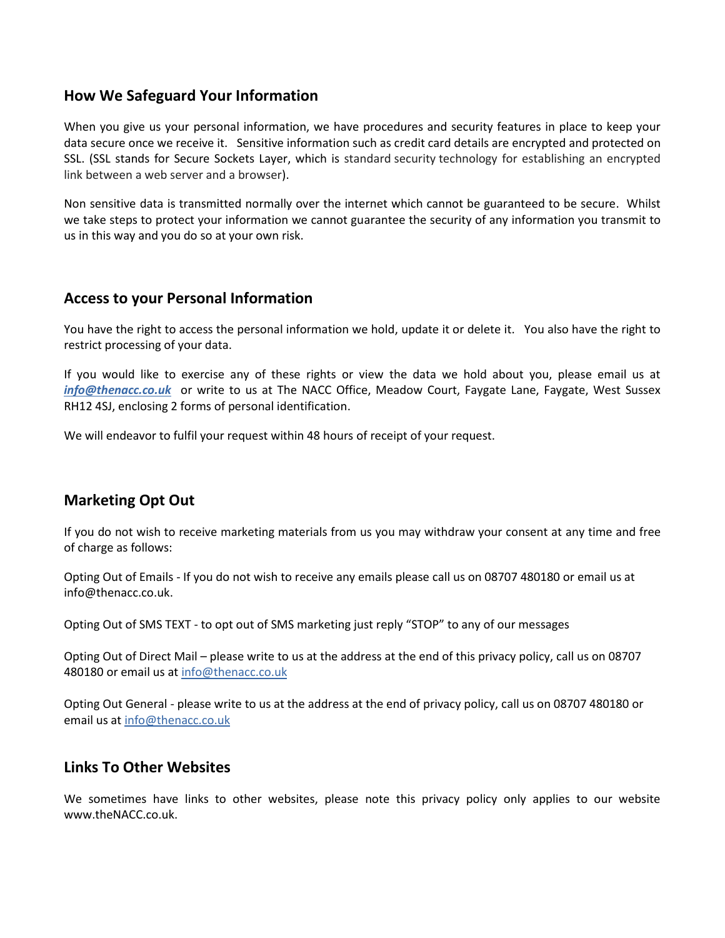#### **How We Safeguard Your Information**

When you give us your personal information, we have procedures and security features in place to keep your data secure once we receive it. Sensitive information such as credit card details are encrypted and protected on SSL. (SSL stands for Secure Sockets Layer, which is standard security technology for establishing an encrypted link between a web server and a browser).

Non sensitive data is transmitted normally over the internet which cannot be guaranteed to be secure. Whilst we take steps to protect your information we cannot guarantee the security of any information you transmit to us in this way and you do so at your own risk.

#### **Access to your Personal Information**

You have the right to access the personal information we hold, update it or delete it. You also have the right to restrict processing of your data.

If you would like to exercise any of these rights or view the data we hold about you, please email us at *[info@thenacc.co.uk](mailto:info@thenacc.co.uk)* or write to us at The NACC Office, Meadow Court, Faygate Lane, Faygate, West Sussex RH12 4SJ, enclosing 2 forms of personal identification.

We will endeavor to fulfil your request within 48 hours of receipt of your request.

## **Marketing Opt Out**

If you do not wish to receive marketing materials from us you may withdraw your consent at any time and free of charge as follows:

Opting Out of Emails - If you do not wish to receive any emails please call us on 08707 480180 or email us at info@thenacc.co.uk.

Opting Out of SMS TEXT - to opt out of SMS marketing just reply "STOP" to any of our messages

Opting Out of Direct Mail – please write to us at the address at the end of this privacy policy, call us on 08707 480180 or email us at [info@thenacc.co.uk](mailto:info@thenacc.co.uk)

Opting Out General - please write to us at the address at the end of privacy policy, call us on 08707 480180 or email us at [info@thenacc.co.uk](mailto:info@thenacc.co.uk)

#### **Links To Other Websites**

We sometimes have links to other websites, please note this privacy policy only applies to our website www.theNACC.co.uk.